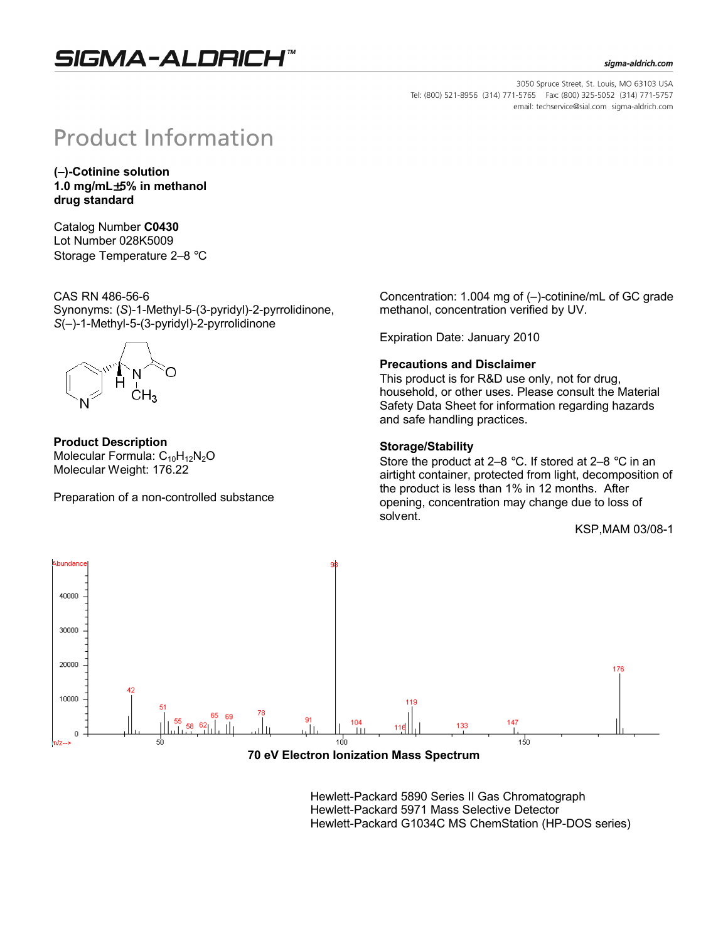## SIGMA-ALDRICH

#### sigma-aldrich.com

3050 Spruce Street, St. Louis, MO 63103 USA Tel: (800) 521-8956 (314) 771-5765 Fax: (800) 325-5052 (314) 771-5757 email: techservice@sial.com sigma-aldrich.com

# **Product Information**

**(–)-Cotinine solution 1.0 mg/mL**±**5% in methanol drug standard**

Catalog Number **C0430** Lot Number 028K5009 Storage Temperature 2–8 °C

CAS RN 486-56-6 Synonyms: (*S*)-1-Methyl-5-(3-pyridyl)-2-pyrrolidinone, *S*(–)-1-Methyl-5-(3-pyridyl)-2-pyrrolidinone



**Product Description** Molecular Formula:  $C_{10}H_{12}N_2O$ Molecular Weight: 176.22

Preparation of a non-controlled substance

Concentration: 1.004 mg of (–)-cotinine/mL of GC grade methanol, concentration verified by UV.

Expiration Date: January 2010

#### **Precautions and Disclaimer**

This product is for R&D use only, not for drug, household, or other uses. Please consult the Material Safety Data Sheet for information regarding hazards and safe handling practices.

#### **Storage/Stability**

Store the product at 2–8 °C. If stored at 2–8 °C in an airtight container, protected from light, decomposition of the product is less than 1% in 12 months. After opening, concentration may change due to loss of solvent.

KSP,MAM 03/08-1



#### **70 eV Electron Ionization Mass Spectrum**

Hewlett-Packard 5890 Series II Gas Chromatograph Hewlett-Packard 5971 Mass Selective Detector Hewlett-Packard G1034C MS ChemStation (HP-DOS series)